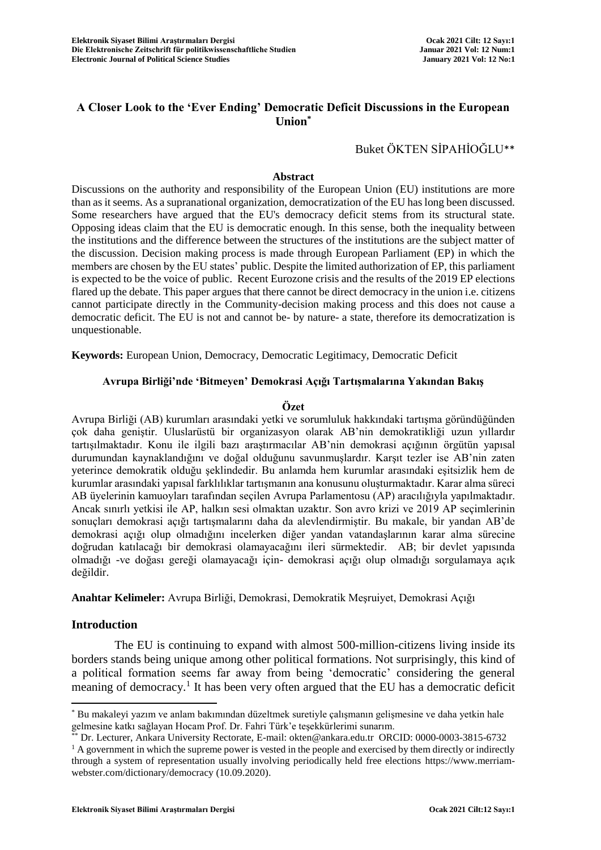# **A Closer Look to the 'Ever Ending' Democratic Deficit Discussions in the European Union\***

Buket ÖKTEN SİPAHİOĞLU\*\*

## **Abstract**

Discussions on the authority and responsibility of the European Union (EU) institutions are more than as it seems. As a supranational organization, democratization of the EU has long been discussed. Some researchers have argued that the EU's democracy deficit stems from its structural state. Opposing ideas claim that the EU is democratic enough. In this sense, both the inequality between the institutions and the difference between the structures of the institutions are the subject matter of the discussion. Decision making process is made through European Parliament (EP) in which the members are chosen by the EU states' public. Despite the limited authorization of EP, this parliament is expected to be the voice of public. Recent Eurozone crisis and the results of the 2019 EP elections flared up the debate. This paper argues that there cannot be direct democracy in the union i.e. citizens cannot participate directly in the Community-decision making process and this does not cause a democratic deficit. The EU is not and cannot be- by nature- a state, therefore its democratization is unquestionable.

**Keywords:** European Union, Democracy, Democratic Legitimacy, Democratic Deficit

## **Avrupa Birliği'nde 'Bitmeyen' Demokrasi Açığı Tartışmalarına Yakından Bakış**

## **Özet**

Avrupa Birliği (AB) kurumları arasındaki yetki ve sorumluluk hakkındaki tartışma göründüğünden çok daha geniştir. Uluslarüstü bir organizasyon olarak AB'nin demokratikliği uzun yıllardır tartışılmaktadır. Konu ile ilgili bazı araştırmacılar AB'nin demokrasi açığının örgütün yapısal durumundan kaynaklandığını ve doğal olduğunu savunmuşlardır. Karşıt tezler ise AB'nin zaten yeterince demokratik olduğu şeklindedir. Bu anlamda hem kurumlar arasındaki eşitsizlik hem de kurumlar arasındaki yapısal farklılıklar tartışmanın ana konusunu oluşturmaktadır. Karar alma süreci AB üyelerinin kamuoyları tarafından seçilen Avrupa Parlamentosu (AP) aracılığıyla yapılmaktadır. Ancak sınırlı yetkisi ile AP, halkın sesi olmaktan uzaktır. Son avro krizi ve 2019 AP seçimlerinin sonuçları demokrasi açığı tartışmalarını daha da alevlendirmiştir. Bu makale, bir yandan AB'de demokrasi açığı olup olmadığını incelerken diğer yandan vatandaşlarının karar alma sürecine doğrudan katılacağı bir demokrasi olamayacağını ileri sürmektedir. AB; bir devlet yapısında olmadığı -ve doğası gereği olamayacağı için- demokrasi açığı olup olmadığı sorgulamaya açık değildir.

**Anahtar Kelimeler:** Avrupa Birliği, Demokrasi, Demokratik Meşruiyet, Demokrasi Açığı

## **Introduction**

 $\overline{a}$ 

The EU is continuing to expand with almost 500-million-citizens living inside its borders stands being unique among other political formations. Not surprisingly, this kind of a political formation seems far away from being 'democratic' considering the general meaning of democracy.<sup>1</sup> It has been very often argued that the EU has a democratic deficit

<sup>\*</sup> Bu makaleyi yazım ve anlam bakımından düzeltmek suretiyle çalışmanın gelişmesine ve daha yetkin hale gelmesine katkı sağlayan Hocam Prof. Dr. Fahri Türk'e teşekkürlerimi sunarım.

Dr. Lecturer, Ankara University Rectorate, E-mail: okten@ankara.edu.tr ORCID: 0000-0003-3815-6732

<sup>&</sup>lt;sup>1</sup> A government in which the supreme power is vested in the people and exercised by them directly or indirectly through a system of representation usually involving periodically held free elections [https://www.merriam](https://www.merriam-webster.com/dictionary/democracy)[webster.com/dictionary/democracy](https://www.merriam-webster.com/dictionary/democracy) (10.09.2020).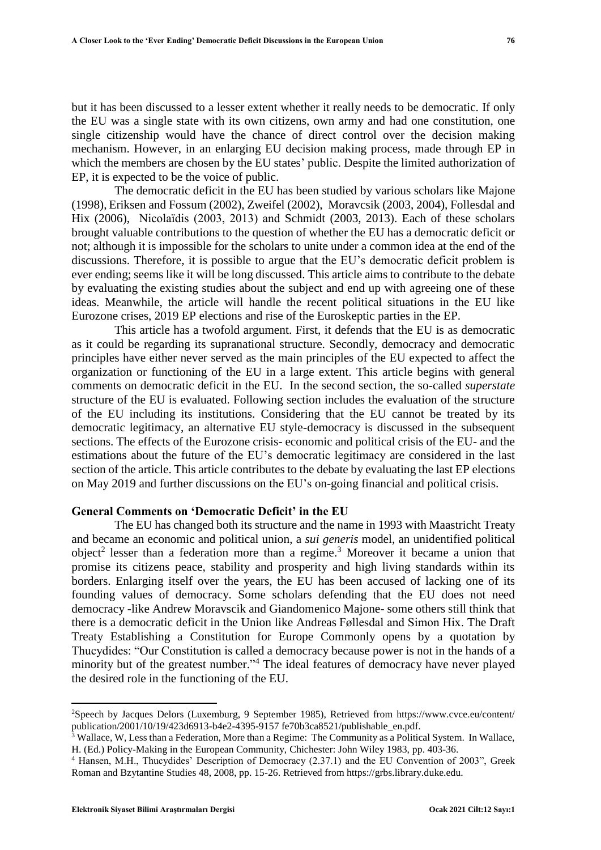but it has been discussed to a lesser extent whether it really needs to be democratic. If only the EU was a single state with its own citizens, own army and had one constitution, one single citizenship would have the chance of direct control over the decision making mechanism. However, in an enlarging EU decision making process, made through EP in which the members are chosen by the EU states' public. Despite the limited authorization of EP, it is expected to be the voice of public.

The democratic deficit in the EU has been studied by various scholars like Majone (1998), Eriksen and Fossum (2002), Zweifel (2002), Moravcsik (2003, 2004), Follesdal and Hix (2006), Nicolaïdis (2003, 2013) and Schmidt (2003, 2013). Each of these scholars brought valuable contributions to the question of whether the EU has a democratic deficit or not; although it is impossible for the scholars to unite under a common idea at the end of the discussions. Therefore, it is possible to argue that the EU's democratic deficit problem is ever ending; seems like it will be long discussed. This article aims to contribute to the debate by evaluating the existing studies about the subject and end up with agreeing one of these ideas. Meanwhile, the article will handle the recent political situations in the EU like Eurozone crises, 2019 EP elections and rise of the Euroskeptic parties in the EP.

This article has a twofold argument. First, it defends that the EU is as democratic as it could be regarding its supranational structure. Secondly, democracy and democratic principles have either never served as the main principles of the EU expected to affect the organization or functioning of the EU in a large extent. This article begins with general comments on democratic deficit in the EU. In the second section, the so-called *superstate* structure of the EU is evaluated. Following section includes the evaluation of the structure of the EU including its institutions. Considering that the EU cannot be treated by its democratic legitimacy, an alternative EU style-democracy is discussed in the subsequent sections. The effects of the Eurozone crisis- economic and political crisis of the EU- and the estimations about the future of the EU's democratic legitimacy are considered in the last section of the article. This article contributes to the debate by evaluating the last EP elections on May 2019 and further discussions on the EU's on-going financial and political crisis.

## **General Comments on 'Democratic Deficit' in the EU**

The EU has changed both its structure and the name in 1993 with Maastricht Treaty and became an economic and political union, a *sui generis* model, an unidentified political object<sup>2</sup> lesser than a federation more than a regime.<sup>3</sup> Moreover it became a union that promise its citizens peace, stability and prosperity and high living standards within its borders. Enlarging itself over the years, the EU has been accused of lacking one of its founding values of democracy. Some scholars defending that the EU does not need democracy -like Andrew Moravscik and Giandomenico Majone- some others still think that there is a democratic deficit in the Union like Andreas Føllesdal and Simon Hix. The Draft Treaty Establishing a Constitution for Europe Commonly opens by a quotation by Thucydides: "Our Constitution is called a democracy because power is not in the hands of a minority but of the greatest number."<sup>4</sup> The ideal features of democracy have never played the desired role in the functioning of the EU.

 $\overline{a}$ 

<sup>2</sup>Speech by Jacques Delors (Luxemburg, 9 September 1985), Retrieved from <https://www.cvce.eu/content/> publication/2001/10/19/423d6913-b4e2-4395-9157 fe70b3ca8521/publishable\_en.pdf.

 $\frac{3}{3}$  Wallace, W, Less than a Federation, More than a Regime: The Community as a Political System. In Wallace, H. (Ed.) Policy-Making in the European Community, Chichester: John Wiley 1983, pp. 403-36.

<sup>4</sup> Hansen, M.H., Thucydides' Description of Democracy (2.37.1) and the EU Convention of 2003", Greek Roman and Bzytantine Studies 48, 2008, pp. 15-26. Retrieved from https://grbs.library.duke.edu.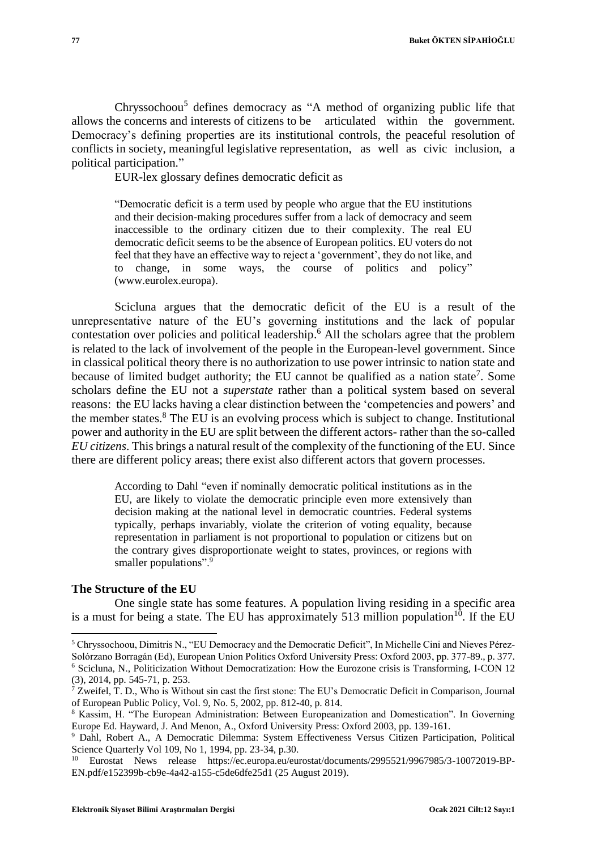Chryssochoou<sup>5</sup> defines democracy as "A method of organizing public life that allows the concerns and interests of citizens to be articulated within the government. Democracy's defining properties are its institutional controls, the peaceful resolution of conflicts in society, meaningful legislative representation, as well as civic inclusion, a political participation."

EUR-lex glossary defines democratic deficit as

"Democratic deficit is a term used by people who argue that the EU institutions and their decision-making procedures suffer from a lack of democracy and seem inaccessible to the ordinary citizen due to their complexity. The real EU democratic deficit seems to be the absence of European politics. EU voters do not feel that they have an effective way to reject a 'government', they do not like, and to change, in some ways, the course of politics and policy" (www.eurolex.europa).

Scicluna argues that the democratic deficit of the EU is a result of the unrepresentative nature of the EU's governing institutions and the lack of popular contestation over policies and political leadership. <sup>6</sup> All the scholars agree that the problem is related to the lack of involvement of the people in the European-level government. Since in classical political theory there is no authorization to use power intrinsic to nation state and because of limited budget authority; the EU cannot be qualified as a nation state<sup>7</sup>. Some scholars define the EU not a *superstate* rather than a political system based on several reasons: the EU lacks having a clear distinction between the 'competencies and powers' and the member states.<sup>8</sup> The EU is an evolving process which is subject to change. Institutional power and authority in the EU are split between the different actors- rather than the so-called *EU citizens*. This brings a natural result of the complexity of the functioning of the EU. Since there are different policy areas; there exist also different actors that govern processes.

According to Dahl "even if nominally democratic political institutions as in the EU, are likely to violate the democratic principle even more extensively than decision making at the national level in democratic countries. Federal systems typically, perhaps invariably, violate the criterion of voting equality, because representation in parliament is not proportional to population or citizens but on the contrary gives disproportionate weight to states, provinces, or regions with smaller populations".<sup>9</sup>

## **The Structure of the EU**

 $\overline{a}$ 

One single state has some features. A population living residing in a specific area is a must for being a state. The EU has approximately 513 million population<sup>10</sup>. If the EU

<sup>5</sup> Chryssochoou, Dimitris N., "EU Democracy and the Democratic Deficit", In Michelle Cini and Nieves Pérez-Solórzano Borragán (Ed), European Union Politics Oxford University Press: Oxford 2003, pp. 377-89., p. 377. <sup>6</sup> Scicluna, N., Politicization Without Democratization: How the Eurozone crisis is Transforming, I-CON 12 (3), 2014, pp. 545-71, p. 253.

<sup>7</sup> Zweifel, T. D., Who is Without sin cast the first stone: The EU's Democratic Deficit in Comparison, Journal of European Public Policy, Vol. 9, No. 5, 2002, pp. 812-40, p. 814.

<sup>8</sup> Kassim, H. "The European Administration: Between Europeanization and Domestication". In Governing Europe Ed. Hayward, J. And Menon, A., Oxford University Press: Oxford 2003, pp. 139-161.

<sup>9</sup> Dahl, Robert A., A Democratic Dilemma: System Effectiveness Versus Citizen Participation, Political Science Quarterly Vol 109, No 1, 1994, pp. 23-34, p.30.

<sup>&</sup>lt;sup>10</sup> Eurostat News release https://ec.europa.eu/eurostat/documents/2995521/9967985/3-10072019-BP-EN.pdf/e152399b-cb9e-4a42-a155-c5de6dfe25d1 (25 August 2019).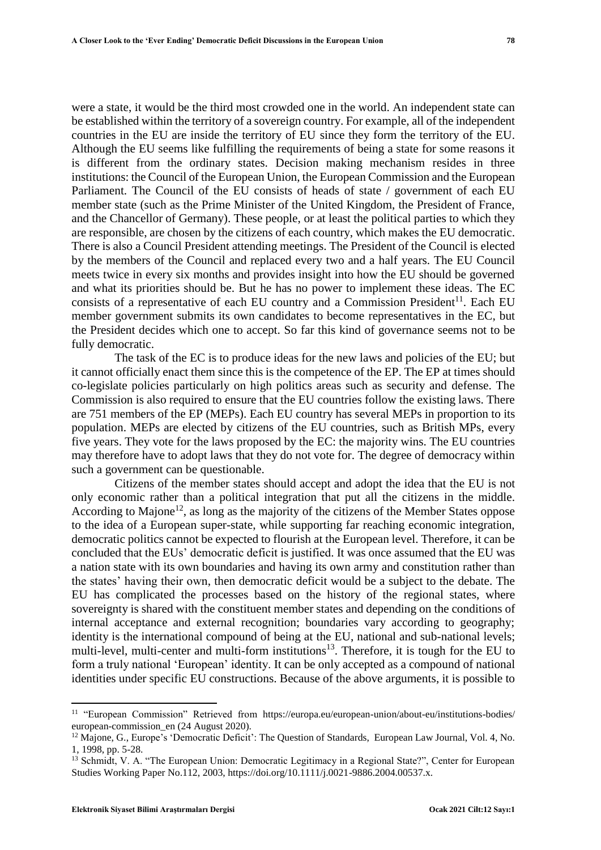were a state, it would be the third most crowded one in the world. An independent state can be established within the territory of a sovereign country. For example, all of the independent countries in the EU are inside the territory of EU since they form the territory of the EU. Although the EU seems like fulfilling the requirements of being a state for some reasons it is different from the ordinary states. Decision making mechanism resides in three institutions: the Council of the European Union, the European Commission and the European Parliament. The Council of the EU consists of heads of state / government of each EU member state (such as the Prime Minister of the United Kingdom, the President of France, and the Chancellor of Germany). These people, or at least the political parties to which they are responsible, are chosen by the citizens of each country, which makes the EU democratic. There is also a Council President attending meetings. The President of the Council is elected by the members of the Council and replaced every two and a half years. The EU Council meets twice in every six months and provides insight into how the EU should be governed and what its priorities should be. But he has no power to implement these ideas. The EC consists of a representative of each EU country and a Commission President $^{11}$ . Each EU member government submits its own candidates to become representatives in the EC, but the President decides which one to accept. So far this kind of governance seems not to be fully democratic.

The task of the EC is to produce ideas for the new laws and policies of the EU; but it cannot officially enact them since this is the competence of the EP. The EP at times should co-legislate policies particularly on high politics areas such as security and defense. The Commission is also required to ensure that the EU countries follow the existing laws. There are 751 members of the EP (MEPs). Each EU country has several MEPs in proportion to its population. MEPs are elected by citizens of the EU countries, such as British MPs, every five years. They vote for the laws proposed by the EC: the majority wins. The EU countries may therefore have to adopt laws that they do not vote for. The degree of democracy within such a government can be questionable.

Citizens of the member states should accept and adopt the idea that the EU is not only economic rather than a political integration that put all the citizens in the middle. According to Majone<sup>12</sup>, as long as the majority of the citizens of the Member States oppose to the idea of a European super-state, while supporting far reaching economic integration, democratic politics cannot be expected to flourish at the European level. Therefore, it can be concluded that the EUs' democratic deficit is justified. It was once assumed that the EU was a nation state with its own boundaries and having its own army and constitution rather than the states' having their own, then democratic deficit would be a subject to the debate. The EU has complicated the processes based on the history of the regional states, where sovereignty is shared with the constituent member states and depending on the conditions of internal acceptance and external recognition; boundaries vary according to geography; identity is the international compound of being at the EU, national and sub-national levels; multi-level, multi-center and multi-form institutions<sup>13</sup>. Therefore, it is tough for the EU to form a truly national 'European' identity. It can be only accepted as a compound of national identities under specific EU constructions. Because of the above arguments, it is possible to

 $\overline{a}$ 

<sup>11</sup> "European Commission" Retrieved from [https://europa.eu/european-union/about-eu/institutions-bodies/](https://europa.eu/european-union/about-eu/institutions-bodies/%20european-commission_en%20(24)  [european-commission\\_en \(24](https://europa.eu/european-union/about-eu/institutions-bodies/%20european-commission_en%20(24) August 2020).

<sup>&</sup>lt;sup>12</sup> Majone, G., Europe's 'Democratic Deficit': The Question of Standards, European Law Journal, Vol. 4, No. 1, 1998, pp. 5-28.

<sup>&</sup>lt;sup>13</sup> Schmidt, V. A. "The European Union: Democratic Legitimacy in a Regional State?", Center for European Studies Working Paper No.112, 2003, https://doi.org/10.1111/j.0021-9886.2004.00537.x.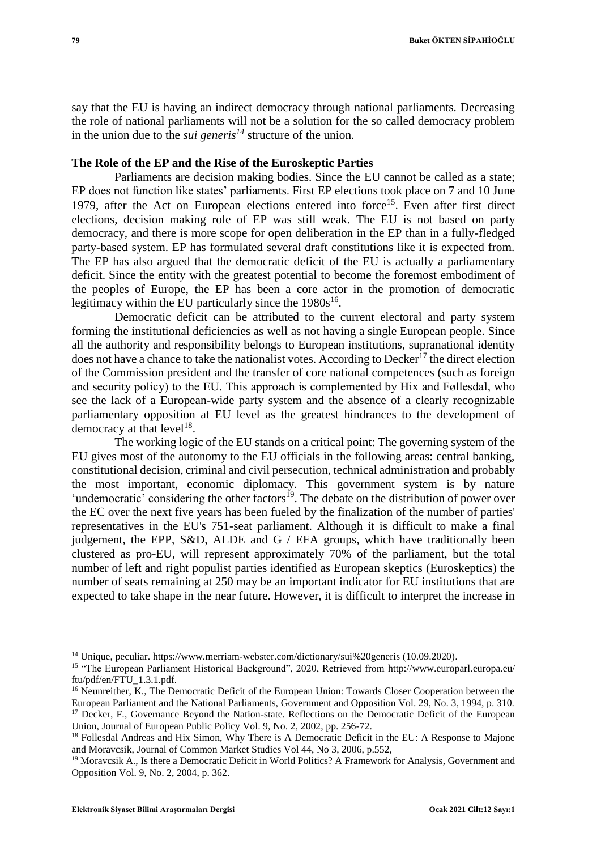say that the EU is having an indirect democracy through national parliaments. Decreasing the role of national parliaments will not be a solution for the so called democracy problem in the union due to the *sui generis<sup>14</sup>* structure of the union.

## **The Role of the EP and the Rise of the Euroskeptic Parties**

Parliaments are decision making bodies. Since the EU cannot be called as a state; EP does not function like states' parliaments. First EP elections took place on 7 and 10 June 1979, after the Act on European elections entered into force<sup>15</sup>. Even after first direct elections, decision making role of EP was still weak. The EU is not based on party democracy, and there is more scope for open deliberation in the EP than in a fully-fledged party-based system. EP has formulated several draft constitutions like it is expected from. The EP has also argued that the democratic deficit of the EU is actually a parliamentary deficit. Since the entity with the greatest potential to become the foremost embodiment of the peoples of Europe, the EP has been a core actor in the promotion of democratic legitimacy within the EU particularly since the  $1980s^{16}$ .

Democratic deficit can be attributed to the current electoral and party system forming the institutional deficiencies as well as not having a single European people. Since all the authority and responsibility belongs to European institutions, supranational identity does not have a chance to take the nationalist votes. According to Decker<sup>17</sup> the direct election of the Commission president and the transfer of core national competences (such as foreign and security policy) to the EU. This approach is complemented by Hix and Føllesdal, who see the lack of a European-wide party system and the absence of a clearly recognizable parliamentary opposition at EU level as the greatest hindrances to the development of democracy at that  $level<sup>18</sup>$ .

The working logic of the EU stands on a critical point: The governing system of the EU gives most of the autonomy to the EU officials in the following areas: central banking, constitutional decision, criminal and civil persecution, technical administration and probably the most important, economic diplomacy. This government system is by nature 'undemocratic' considering the other factors<sup>19</sup>. The debate on the distribution of power over the EC over the next five years has been fueled by the finalization of the number of parties' representatives in the EU's 751-seat parliament. Although it is difficult to make a final judgement, the EPP, S&D, ALDE and G / EFA groups, which have traditionally been clustered as pro-EU, will represent approximately 70% of the parliament, but the total number of left and right populist parties identified as European skeptics (Euroskeptics) the number of seats remaining at 250 may be an important indicator for EU institutions that are expected to take shape in the near future. However, it is difficult to interpret the increase in

<sup>&</sup>lt;sup>14</sup> Unique, peculiar.<https://www.merriam-webster.com/dictionary/sui%20generis> (10.09.2020).

<sup>&</sup>lt;sup>15</sup> "The European Parliament Historical Background", 2020, Retrieved from [http://www.europarl.](http://www.europarl/)europa.eu/ ftu/pdf/en/FTU\_1.3.1.pdf.

<sup>&</sup>lt;sup>16</sup> Neunreither, K., The Democratic Deficit of the European Union: Towards Closer Cooperation between the European Parliament and the National Parliaments, Government and Opposition Vol. 29, No. 3, 1994, p. 310. <sup>17</sup> Decker, F., Governance Beyond the Nation-state. Reflections on the Democratic Deficit of the European Union, Journal of European Public Policy Vol. 9, No. 2, 2002, pp. 256-72.

<sup>&</sup>lt;sup>18</sup> Follesdal Andreas and Hix Simon, Why There is A Democratic Deficit in the EU: A Response to Majone and Moravcsik, Journal of Common Market Studies Vol 44, No 3, 2006, p.552,

<sup>&</sup>lt;sup>19</sup> Moravcsik A., Is there a Democratic Deficit in World Politics? A Framework for Analysis, Government and Opposition Vol. 9, No. 2, 2004, p. 362.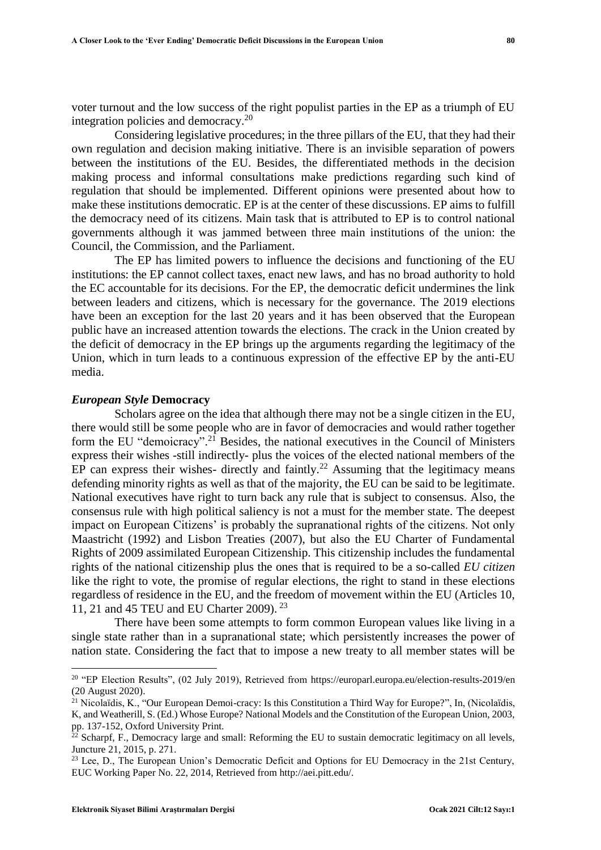voter turnout and the low success of the right populist parties in the EP as a triumph of EU integration policies and democracy.<sup>20</sup>

Considering legislative procedures; in the three pillars of the EU, that they had their own regulation and decision making initiative. There is an invisible separation of powers between the institutions of the EU. Besides, the differentiated methods in the decision making process and informal consultations make predictions regarding such kind of regulation that should be implemented. Different opinions were presented about how to make these institutions democratic. EP is at the center of these discussions. EP aims to fulfill the democracy need of its citizens. Main task that is attributed to EP is to control national governments although it was jammed between three main institutions of the union: the Council, the Commission, and the Parliament.

The EP has limited powers to influence the decisions and functioning of the EU institutions: the EP cannot collect taxes, enact new laws, and has no broad authority to hold the EC accountable for its decisions. For the EP, the democratic deficit undermines the link between leaders and citizens, which is necessary for the governance. The 2019 elections have been an exception for the last 20 years and it has been observed that the European public have an increased attention towards the elections. The crack in the Union created by the deficit of democracy in the EP brings up the arguments regarding the legitimacy of the Union, which in turn leads to a continuous expression of the effective EP by the anti-EU media.

#### *European Style* **Democracy**

Scholars agree on the idea that although there may not be a single citizen in the EU, there would still be some people who are in favor of democracies and would rather together form the EU "demoicracy".<sup>21</sup> Besides, the national executives in the Council of Ministers express their wishes -still indirectly- plus the voices of the elected national members of the EP can express their wishes- directly and faintly.<sup>22</sup> Assuming that the legitimacy means defending minority rights as well as that of the majority, the EU can be said to be legitimate. National executives have right to turn back any rule that is subject to consensus. Also, the consensus rule with high political saliency is not a must for the member state. The deepest impact on European Citizens' is probably the supranational rights of the citizens. Not only Maastricht (1992) and Lisbon Treaties (2007), but also the EU Charter of Fundamental Rights of 2009 assimilated European Citizenship. This citizenship includes the fundamental rights of the national citizenship plus the ones that is required to be a so-called *EU citizen* like the right to vote, the promise of regular elections, the right to stand in these elections regardless of residence in the EU, and the freedom of movement within the EU (Articles 10, 11, 21 and 45 TEU and EU Charter 2009). 23

There have been some attempts to form common European values like living in a single state rather than in a supranational state; which persistently increases the power of nation state. Considering the fact that to impose a new treaty to all member states will be

 $\overline{a}$ 

<sup>20</sup> "EP Election Results", (02 July 2019), Retrieved from<https://europarl.europa.eu/election-results-2019/en> (20 August 2020).

<sup>&</sup>lt;sup>21</sup> Nicolaïdis, K., "Our European Demoi-cracy: Is this Constitution a Third Way for Europe?", In, (Nicolaïdis, K, and Weatherill, S. (Ed.) Whose Europe? National Models and the Constitution of the European Union, 2003, pp. 137-152, Oxford University Print.

 $\frac{22}{2}$  Scharpf, F., Democracy large and small: Reforming the EU to sustain democratic legitimacy on all levels, Juncture 21, 2015, p. 271.

<sup>&</sup>lt;sup>23</sup> Lee, D., The European Union's Democratic Deficit and Options for EU Democracy in the 21st Century, EUC Working Paper No. 22, 2014, Retrieved from http://aei.pitt.edu/.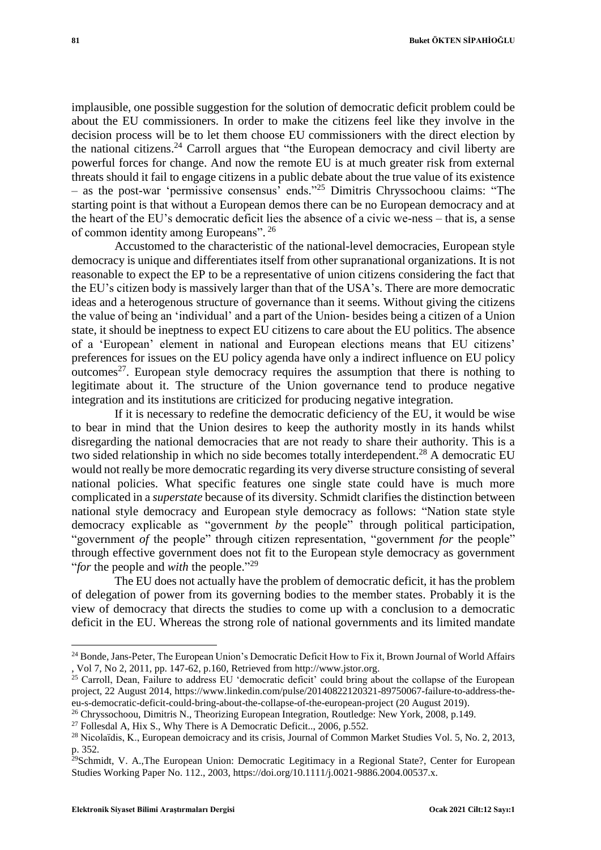implausible, one possible suggestion for the solution of democratic deficit problem could be about the EU commissioners. In order to make the citizens feel like they involve in the decision process will be to let them choose EU commissioners with the direct election by the national citizens.<sup>24</sup> Carroll argues that "the European democracy and civil liberty are powerful forces for change. And now the remote EU is at much greater risk from external threats should it fail to engage citizens in a public debate about the true value of its existence

– as the post-war 'permissive consensus' ends." <sup>25</sup> Dimitris Chryssochoou claims: "The starting point is that without a European demos there can be no European democracy and at the heart of the EU's democratic deficit lies the absence of a civic we-ness – that is, a sense of common identity among Europeans". 26

Accustomed to the characteristic of the national-level democracies, European style democracy is unique and differentiates itself from other supranational organizations. It is not reasonable to expect the EP to be a representative of union citizens considering the fact that the EU's citizen body is massively larger than that of the USA's. There are more democratic ideas and a heterogenous structure of governance than it seems. Without giving the citizens the value of being an 'individual' and a part of the Union- besides being a citizen of a Union state, it should be ineptness to expect EU citizens to care about the EU politics. The absence of a 'European' element in national and European elections means that EU citizens' preferences for issues on the EU policy agenda have only a indirect influence on EU policy outcomes<sup>27</sup>. European style democracy requires the assumption that there is nothing to legitimate about it. The structure of the Union governance tend to produce negative integration and its institutions are criticized for producing negative integration.

If it is necessary to redefine the democratic deficiency of the EU, it would be wise to bear in mind that the Union desires to keep the authority mostly in its hands whilst disregarding the national democracies that are not ready to share their authority. This is a two sided relationship in which no side becomes totally interdependent.<sup>28</sup> A democratic EU would not really be more democratic regarding its very diverse structure consisting of several national policies. What specific features one single state could have is much more complicated in a *superstate* because of its diversity. Schmidt clarifies the distinction between national style democracy and European style democracy as follows: "Nation state style democracy explicable as "government *by* the people" through political participation, "government *of* the people" through citizen representation, "government *for* the people" through effective government does not fit to the European style democracy as government "*for* the people and *with* the people." 29

The EU does not actually have the problem of democratic deficit, it has the problem of delegation of power from its governing bodies to the member states. Probably it is the view of democracy that directs the studies to come up with a conclusion to a democratic deficit in the EU. Whereas the strong role of national governments and its limited mandate

<sup>&</sup>lt;sup>24</sup> Bonde, Jans-Peter, The European Union's Democratic Deficit How to Fix it, Brown Journal of World Affairs , Vol 7, No 2, 2011, pp. 147-62, p.160, Retrieved from http://www.jstor.org.

<sup>&</sup>lt;sup>25</sup> Carroll, Dean, Failure to address EU 'democratic deficit' could bring about the collapse of the European project, 22 August 2014, https://www.linkedin.com/pulse/20140822120321-89750067-failure-to-address-theeu-s-democratic-deficit-could-bring-about-the-collapse-of-the-european-project (20 August 2019).

<sup>26</sup> Chryssochoou, Dimitris N., Theorizing European Integration, Routledge: New York, 2008, p.149.

<sup>&</sup>lt;sup>27</sup> Follesdal A, Hix S., Why There is A Democratic Deficit.., 2006, p.552.

<sup>28</sup> Nicolaïdis, K., European demoicracy and its crisis, Journal of Common Market Studies Vol. 5, No. 2, 2013, p. 352.

<sup>&</sup>lt;sup>29</sup>Schmidt, V. A.,The European Union: Democratic Legitimacy in a Regional State?, Center for European Studies Working Paper No. 112., 2003, https://doi.org/10.1111/j.0021-9886.2004.00537.x.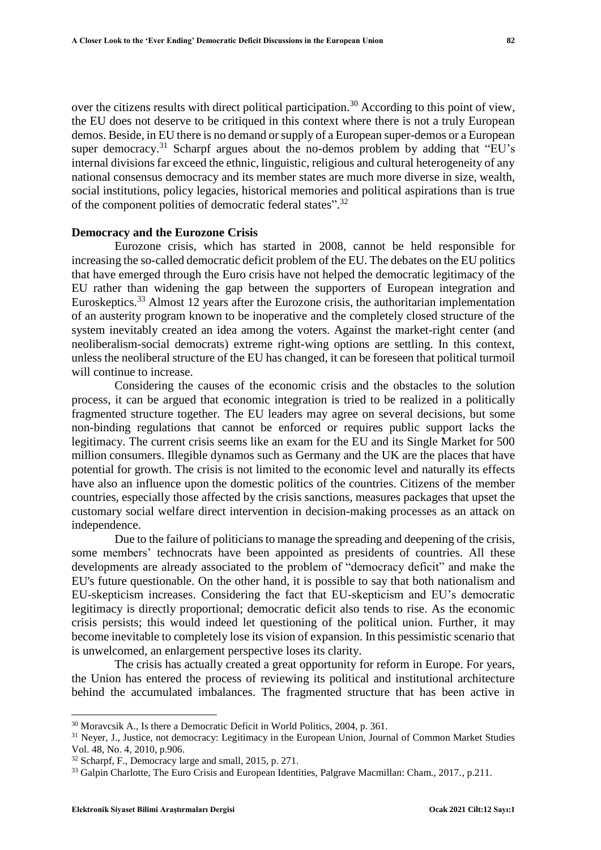over the citizens results with direct political participation.<sup>30</sup> According to this point of view, the EU does not deserve to be critiqued in this context where there is not a truly European demos. Beside, in EU there is no demand or supply of a European super-demos or a European super democracy.<sup>31</sup> Scharpf argues about the no-demos problem by adding that "EU's internal divisions far exceed the ethnic, linguistic, religious and cultural heterogeneity of any national consensus democracy and its member states are much more diverse in size, wealth, social institutions, policy legacies, historical memories and political aspirations than is true of the component polities of democratic federal states".<sup>32</sup>

## **Democracy and the Eurozone Crisis**

Eurozone crisis, which has started in 2008, cannot be held responsible for increasing the so-called democratic deficit problem of the EU. The debates on the EU politics that have emerged through the Euro crisis have not helped the democratic legitimacy of the EU rather than widening the gap between the supporters of European integration and Euroskeptics.<sup>33</sup> Almost 12 years after the Eurozone crisis, the authoritarian implementation of an austerity program known to be inoperative and the completely closed structure of the system inevitably created an idea among the voters. Against the market-right center (and neoliberalism-social democrats) extreme right-wing options are settling. In this context, unless the neoliberal structure of the EU has changed, it can be foreseen that political turmoil will continue to increase.

Considering the causes of the economic crisis and the obstacles to the solution process, it can be argued that economic integration is tried to be realized in a politically fragmented structure together. The EU leaders may agree on several decisions, but some non-binding regulations that cannot be enforced or requires public support lacks the legitimacy. The current crisis seems like an exam for the EU and its Single Market for 500 million consumers. Illegible dynamos such as Germany and the UK are the places that have potential for growth. The crisis is not limited to the economic level and naturally its effects have also an influence upon the domestic politics of the countries. Citizens of the member countries, especially those affected by the crisis sanctions, measures packages that upset the customary social welfare direct intervention in decision-making processes as an attack on independence.

Due to the failure of politicians to manage the spreading and deepening of the crisis, some members' technocrats have been appointed as presidents of countries. All these developments are already associated to the problem of "democracy deficit" and make the EU's future questionable. On the other hand, it is possible to say that both nationalism and EU-skepticism increases. Considering the fact that EU-skepticism and EU's democratic legitimacy is directly proportional; democratic deficit also tends to rise. As the economic crisis persists; this would indeed let questioning of the political union. Further, it may become inevitable to completely lose its vision of expansion. In this pessimistic scenario that is unwelcomed, an enlargement perspective loses its clarity.

The crisis has actually created a great opportunity for reform in Europe. For years, the Union has entered the process of reviewing its political and institutional architecture behind the accumulated imbalances. The fragmented structure that has been active in

<sup>&</sup>lt;sup>30</sup> Moravcsik A., Is there a Democratic Deficit in World Politics, 2004, p. 361.

<sup>31</sup> Neyer, J., Justice, not democracy: Legitimacy in the European Union, Journal of Common Market Studies Vol. 48, No. 4, 2010, p.906.

<sup>32</sup> Scharpf, F., Democracy large and small, 2015, p. 271.

<sup>&</sup>lt;sup>33</sup> Galpin Charlotte, The Euro Crisis and European Identities, Palgrave Macmillan: Cham., 2017., p.211.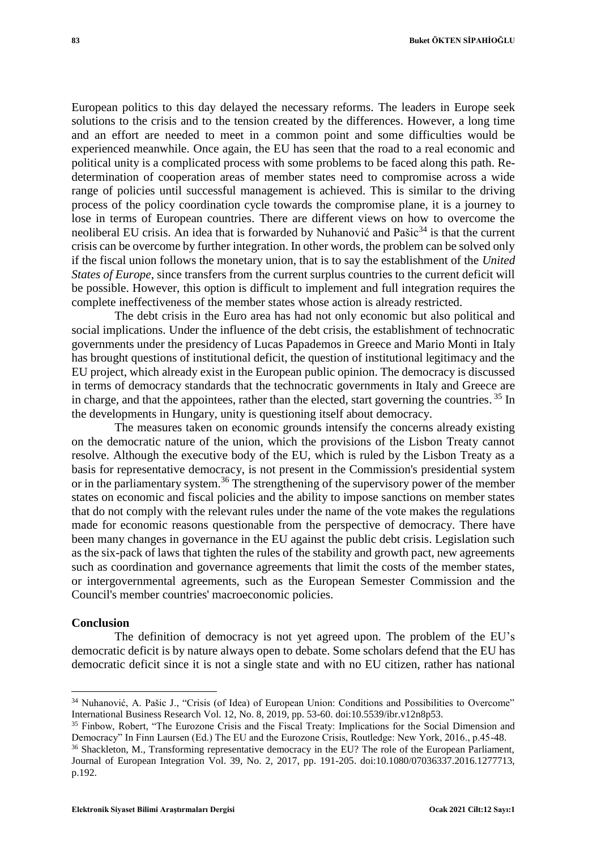European politics to this day delayed the necessary reforms. The leaders in Europe seek solutions to the crisis and to the tension created by the differences. However, a long time and an effort are needed to meet in a common point and some difficulties would be experienced meanwhile. Once again, the EU has seen that the road to a real economic and political unity is a complicated process with some problems to be faced along this path. Redetermination of cooperation areas of member states need to compromise across a wide range of policies until successful management is achieved. This is similar to the driving process of the policy coordination cycle towards the compromise plane, it is a journey to lose in terms of European countries. There are different views on how to overcome the neoliberal EU crisis. An idea that is forwarded by Nuhanović and Pašic<sup>34</sup> is that the current crisis can be overcome by further integration. In other words, the problem can be solved only if the fiscal union follows the monetary union, that is to say the establishment of the *United States of Europe*, since transfers from the current surplus countries to the current deficit will be possible. However, this option is difficult to implement and full integration requires the complete ineffectiveness of the member states whose action is already restricted.

The debt crisis in the Euro area has had not only economic but also political and social implications. Under the influence of the debt crisis, the establishment of technocratic governments under the presidency of Lucas Papademos in Greece and Mario Monti in Italy has brought questions of institutional deficit, the question of institutional legitimacy and the EU project, which already exist in the European public opinion. The democracy is discussed in terms of democracy standards that the technocratic governments in Italy and Greece are in charge, and that the appointees, rather than the elected, start governing the countries.<sup>35</sup> In the developments in Hungary, unity is questioning itself about democracy.

The measures taken on economic grounds intensify the concerns already existing on the democratic nature of the union, which the provisions of the Lisbon Treaty cannot resolve. Although the executive body of the EU, which is ruled by the Lisbon Treaty as a basis for representative democracy, is not present in the Commission's presidential system or in the parliamentary system.<sup>36</sup> The strengthening of the supervisory power of the member states on economic and fiscal policies and the ability to impose sanctions on member states that do not comply with the relevant rules under the name of the vote makes the regulations made for economic reasons questionable from the perspective of democracy. There have been many changes in governance in the EU against the public debt crisis. Legislation such as the six-pack of laws that tighten the rules of the stability and growth pact, new agreements such as coordination and governance agreements that limit the costs of the member states, or intergovernmental agreements, such as the European Semester Commission and the Council's member countries' macroeconomic policies.

### **Conclusion**

l

The definition of democracy is not yet agreed upon. The problem of the EU's democratic deficit is by nature always open to debate. Some scholars defend that the EU has democratic deficit since it is not a single state and with no EU citizen, rather has national

<sup>&</sup>lt;sup>34</sup> Nuhanović, A. Pašic J., "Crisis (of Idea) of European Union: Conditions and Possibilities to Overcome" International Business Research Vol. 12, No. 8, 2019, pp. 53-60. doi:10.5539/ibr.v12n8p53.

<sup>&</sup>lt;sup>35</sup> Finbow, Robert, "The Eurozone Crisis and the Fiscal Treaty: Implications for the Social Dimension and Democracy" In Finn Laursen (Ed.) The EU and the Eurozone Crisis, Routledge: New York, 2016., p.45-48.

<sup>36</sup> Shackleton, M., Transforming representative democracy in the EU? The role of the European Parliament, Journal of European Integration Vol. 39, No. 2, 2017, pp. 191-205. doi:10.1080/07036337.2016.1277713, p.192.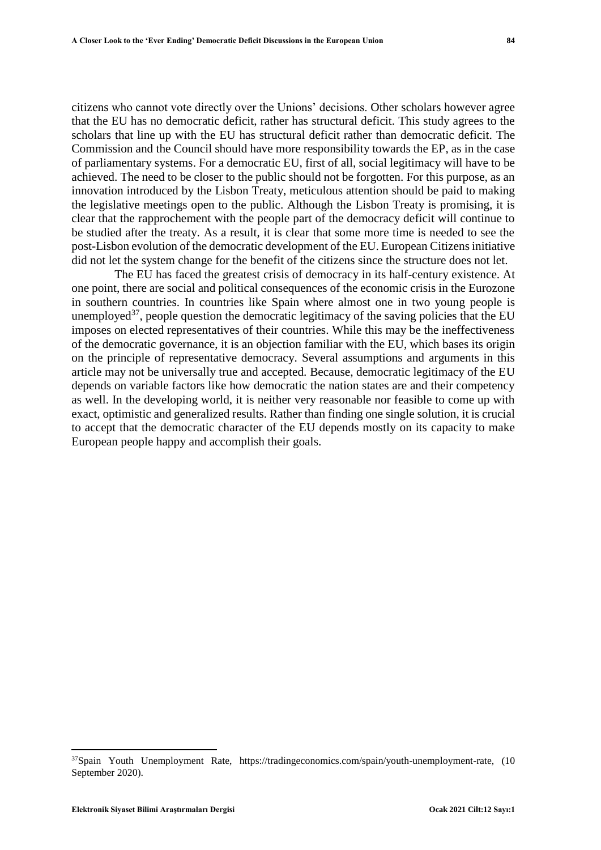citizens who cannot vote directly over the Unions' decisions. Other scholars however agree that the EU has no democratic deficit, rather has structural deficit. This study agrees to the scholars that line up with the EU has structural deficit rather than democratic deficit. The Commission and the Council should have more responsibility towards the EP, as in the case of parliamentary systems. For a democratic EU, first of all, social legitimacy will have to be achieved. The need to be closer to the public should not be forgotten. For this purpose, as an innovation introduced by the Lisbon Treaty, meticulous attention should be paid to making the legislative meetings open to the public. Although the Lisbon Treaty is promising, it is clear that the rapprochement with the people part of the democracy deficit will continue to be studied after the treaty. As a result, it is clear that some more time is needed to see the post-Lisbon evolution of the democratic development of the EU. European Citizens initiative did not let the system change for the benefit of the citizens since the structure does not let.

The EU has faced the greatest crisis of democracy in its half-century existence. At one point, there are social and political consequences of the economic crisis in the Eurozone in southern countries. In countries like Spain where almost one in two young people is unemployed<sup>37</sup>, people question the democratic legitimacy of the saving policies that the EU imposes on elected representatives of their countries. While this may be the ineffectiveness of the democratic governance, it is an objection familiar with the EU, which bases its origin on the principle of representative democracy. Several assumptions and arguments in this article may not be universally true and accepted. Because, democratic legitimacy of the EU depends on variable factors like how democratic the nation states are and their competency as well. In the developing world, it is neither very reasonable nor feasible to come up with exact, optimistic and generalized results. Rather than finding one single solution, it is crucial to accept that the democratic character of the EU depends mostly on its capacity to make European people happy and accomplish their goals.

<sup>37</sup>Spain Youth Unemployment Rate, [https://tradingeconomics.com/spain/youth-unemployment-rate,](https://tradingeconomics.com/spain/youth-unemployment-rate) (10 September 2020).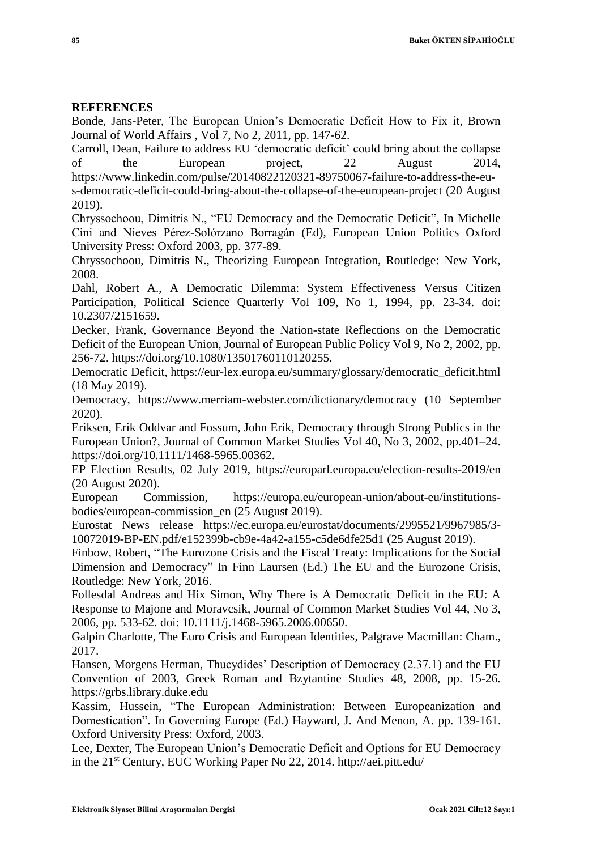# **REFERENCES**

Bonde, Jans-Peter, The European Union's Democratic Deficit How to Fix it, Brown Journal of World Affairs , Vol 7, No 2, 2011, pp. 147-62.

Carroll, Dean, Failure to address EU 'democratic deficit' could bring about the collapse of the European project, 22 August 2014, https://www.linkedin.com/pulse/20140822120321-89750067-failure-to-address-the-eus-democratic-deficit-could-bring-about-the-collapse-of-the-european-project (20 August 2019).

Chryssochoou, Dimitris N., "EU Democracy and the Democratic Deficit", In Michelle Cini and Nieves Pérez-Solórzano Borragán (Ed), European Union Politics Oxford University Press: Oxford 2003, pp. 377-89.

Chryssochoou, Dimitris N., Theorizing European Integration, Routledge: New York, 2008.

Dahl, Robert A., A Democratic Dilemma: System Effectiveness Versus Citizen Participation, Political Science Quarterly Vol 109, No 1, 1994, pp. 23-34. doi: 10.2307/2151659.

Decker, Frank, Governance Beyond the Nation-state Reflections on the Democratic Deficit of the European Union, Journal of European Public Policy Vol 9, No 2, 2002, pp. 256-72. [https://doi.org/10.1080/13501760110120255.](https://doi.org/10.1080/13501760110120255)

Democratic Deficit, https://eur-lex.europa.eu/summary/glossary/democratic\_deficit.html (18 May 2019).

Democracy, [https://www.merriam-webster.com/dictionary/democracy \(10](https://www.merriam-webster.com/dictionary/democracy%20(10) September 2020).

Eriksen, Erik Oddvar and Fossum, John Erik, Democracy through Strong Publics in the European Union?, Journal of Common Market Studies Vol 40, No 3, 2002, pp.401–24. [https://doi.org/10.1111/1468-5965.00362.](https://doi.org/10.1111/1468-5965.00362)

EP Election Results, 02 July 2019, [https://europarl.europa.eu/election-results-2019/en](https://europarl.europa.eu/election-results-2019/en%20(20)  [\(20](https://europarl.europa.eu/election-results-2019/en%20(20) August 2020).

European Commission, [https://europa.eu/european-union/about-eu/institutions](https://europa.eu/european-union/about-eu/institutions-bodies/european-commission_en%20(25)[bodies/european-commission\\_en \(25](https://europa.eu/european-union/about-eu/institutions-bodies/european-commission_en%20(25) August 2019).

Eurostat News release [https://ec.europa.eu/eurostat/documents/2995521/9967985/3-](https://ec.europa.eu/eurostat/documents/2995521/9967985/3-10072019-BP-EN.pdf/e152399b-cb9e-4a42-a155-c5de6dfe25d1%20(25) [10072019-BP-EN.pdf/e152399b-cb9e-4a42-a155-c5de6dfe25d1 \(25](https://ec.europa.eu/eurostat/documents/2995521/9967985/3-10072019-BP-EN.pdf/e152399b-cb9e-4a42-a155-c5de6dfe25d1%20(25) August 2019).

Finbow, Robert, "The Eurozone Crisis and the Fiscal Treaty: Implications for the Social Dimension and Democracy" In Finn Laursen (Ed.) The EU and the Eurozone Crisis, Routledge: New York, 2016.

Follesdal Andreas and Hix Simon, Why There is A Democratic Deficit in the EU: A Response to Majone and Moravcsik, Journal of Common Market Studies Vol 44, No 3, 2006, pp. 533-62. doi: 10.1111/j.1468-5965.2006.00650.

Galpin Charlotte, The Euro Crisis and European Identities, Palgrave Macmillan: Cham., 2017.

Hansen, Morgens Herman, Thucydides' Description of Democracy (2.37.1) and the EU Convention of 2003, Greek Roman and Bzytantine Studies 48, 2008, pp. 15-26. https://grbs.library.duke.edu

Kassim, Hussein, "The European Administration: Between Europeanization and Domestication". In Governing Europe (Ed.) Hayward, J. And Menon, A. pp. 139-161. Oxford University Press: Oxford, 2003.

Lee, Dexter, The European Union's Democratic Deficit and Options for EU Democracy in the 21st Century, EUC Working Paper No 22, 2014. http://aei.pitt.edu/